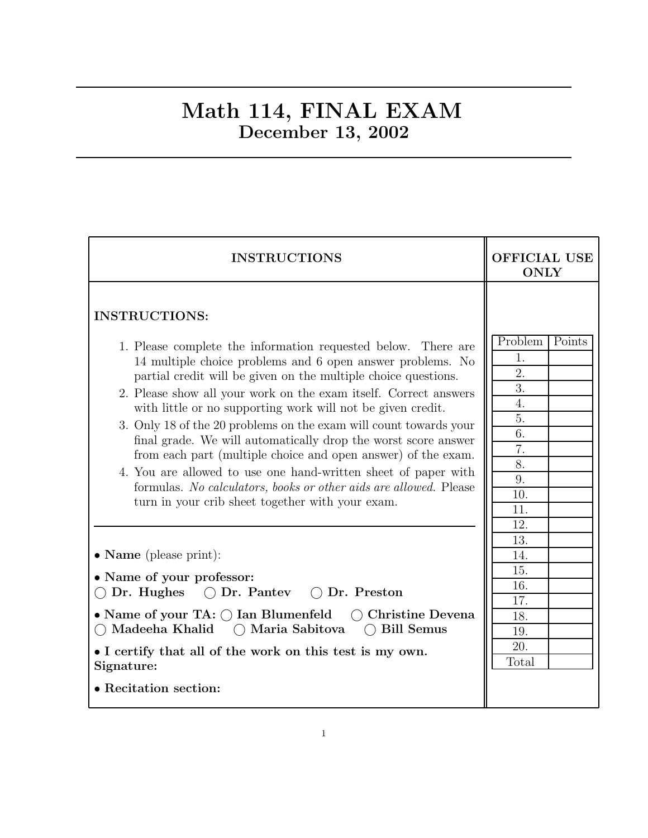### Math 114, FINAL EXAM December 13, 2002

| <b>INSTRUCTIONS</b>                                                                                                                                                                                                                                                                                                                                                                                                                                                                                                                                              | <b>OFFICIAL USE</b><br><b>ONLY</b>                                        |  |  |
|------------------------------------------------------------------------------------------------------------------------------------------------------------------------------------------------------------------------------------------------------------------------------------------------------------------------------------------------------------------------------------------------------------------------------------------------------------------------------------------------------------------------------------------------------------------|---------------------------------------------------------------------------|--|--|
| <b>INSTRUCTIONS:</b><br>1. Please complete the information requested below. There are<br>14 multiple choice problems and 6 open answer problems. No<br>partial credit will be given on the multiple choice questions.<br>2. Please show all your work on the exam itself. Correct answers<br>with little or no supporting work will not be given credit.<br>3. Only 18 of the 20 problems on the exam will count towards your<br>final grade. We will automatically drop the worst score answer<br>from each part (multiple choice and open answer) of the exam. | Problem<br>Points<br>1.<br>$\overline{2}$ .<br>3.<br>4.<br>5.<br>6.<br>7. |  |  |
| 4. You are allowed to use one hand-written sheet of paper with<br>formulas. No calculators, books or other aids are allowed. Please<br>turn in your crib sheet together with your exam.                                                                                                                                                                                                                                                                                                                                                                          | 8.<br>9.<br>10.<br>11.                                                    |  |  |
| • Name (please print):<br>• Name of your professor:<br>$\bigcirc$ Dr. Pantey $\bigcirc$ Dr. Preston<br>Dr. Hughes                                                                                                                                                                                                                                                                                                                                                                                                                                                | 12.<br>13.<br>14.<br>15.<br>16.<br>17.                                    |  |  |
| • Name of your TA: $\bigcap$ Ian Blumenfeld<br>$\bigcap$ Christine Devena<br>Madeeha Khalid<br>○ Maria Sabitova<br><b>Bill Semus</b><br>$($ )<br>• I certify that all of the work on this test is my own.<br>Signature:                                                                                                                                                                                                                                                                                                                                          | 18.<br>19.<br>20.<br>Total                                                |  |  |
| • Recitation section:                                                                                                                                                                                                                                                                                                                                                                                                                                                                                                                                            |                                                                           |  |  |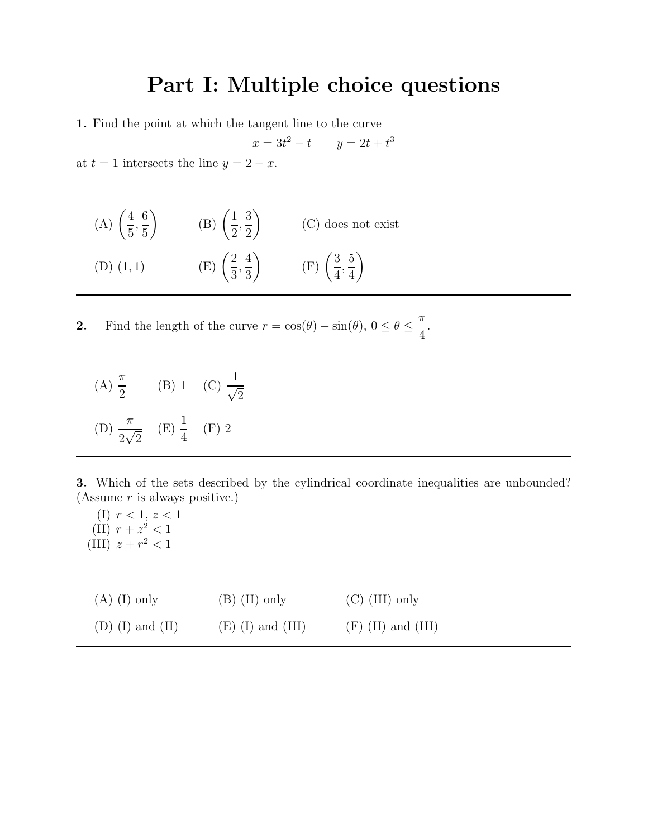# Part I: Multiple choice questions

1. Find the point at which the tangent line to the curve

$$
x = 3t^2 - t \qquad y = 2t + t^3
$$

at  $t = 1$  intersects the line  $y = 2 - x$ .

| (A) $\left(\frac{4}{5}, \frac{6}{5}\right)$ | (B) $\left(\frac{1}{2}, \frac{3}{2}\right)$ | $(C)$ does not exist                        |
|---------------------------------------------|---------------------------------------------|---------------------------------------------|
| $(D)$ $(1,1)$                               | (E) $\left(\frac{2}{3}, \frac{4}{3}\right)$ | (F) $\left(\frac{3}{4}, \frac{5}{4}\right)$ |

**2.** Find the length of the curve  $r = \cos(\theta) - \sin(\theta)$ ,  $0 \le \theta \le \frac{\pi}{4}$ 4 .

(A) 
$$
\frac{\pi}{2}
$$
 (B) 1 (C)  $\frac{1}{\sqrt{2}}$   
(D)  $\frac{\pi}{2\sqrt{2}}$  (E)  $\frac{1}{4}$  (F) 2

3. Which of the sets described by the cylindrical coordinate inequalities are unbounded? (Assume  $r$  is always positive.)

(I)  $r < 1, z < 1$ (II)  $r + z^2 < 1$ (III)  $z + r^2 < 1$ 

| $(A)$ (I) only     | $(B)$ (II) only     | $(C)$ (III) only     |
|--------------------|---------------------|----------------------|
| $(D)$ (I) and (II) | $(E)$ (I) and (III) | $(F)$ (II) and (III) |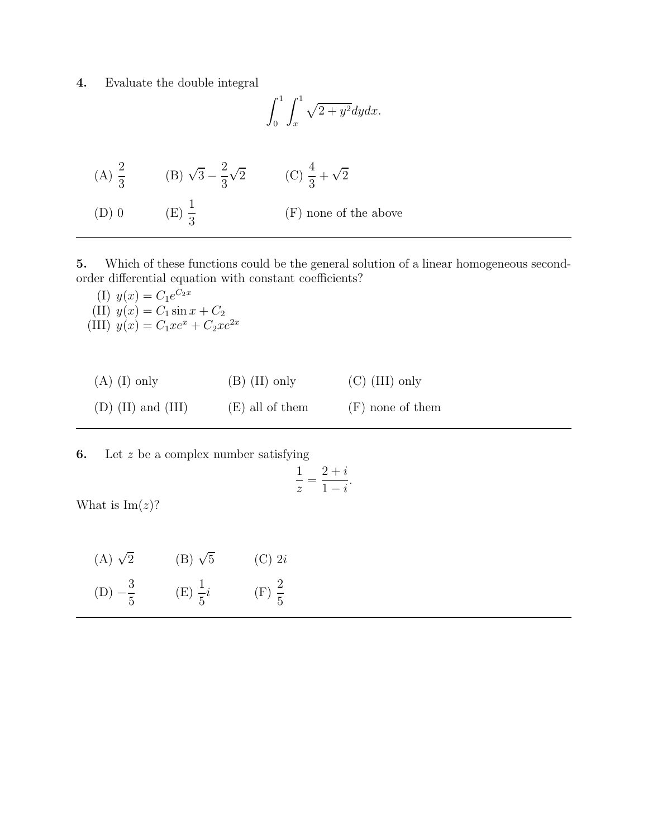4. Evaluate the double integral

$$
\int_0^1 \int_x^1 \sqrt{2 + y^2} dy dx.
$$

| (A) $\frac{2}{3}$ | (B) $\sqrt{3} - \frac{2}{3}\sqrt{2}$ | (C) $\frac{4}{3} + \sqrt{2}$ |
|-------------------|--------------------------------------|------------------------------|
| $(D)$ 0           | $(E) \frac{1}{2}$                    | $(F)$ none of the above      |

5. Which of these functions could be the general solution of a linear homogeneous secondorder differential equation with constant coefficients?

(I)  $y(x) = C_1 e^{C_2 x}$ (II)  $y(x) = C_1 \sin x + C_2$ (III)  $y(x) = C_1 x e^x + C_2 x e^{2x}$ 

| $(A)$ (I) only       | $(B)$ (II) only   | $(C)$ (III) only   |
|----------------------|-------------------|--------------------|
| $(D)$ (II) and (III) | $(E)$ all of them | $(F)$ none of them |

**6.** Let  $z$  be a complex number satisfying

$$
\frac{1}{z} = \frac{2+i}{1-i}.
$$

What is  $\text{Im}(z)$ ?

| (A) $\sqrt{2}$     | $(B) \sqrt{5}$     | $(C)$ 2i          |
|--------------------|--------------------|-------------------|
| (D) $-\frac{3}{5}$ | (E) $\frac{1}{5}i$ | $(F) \frac{2}{5}$ |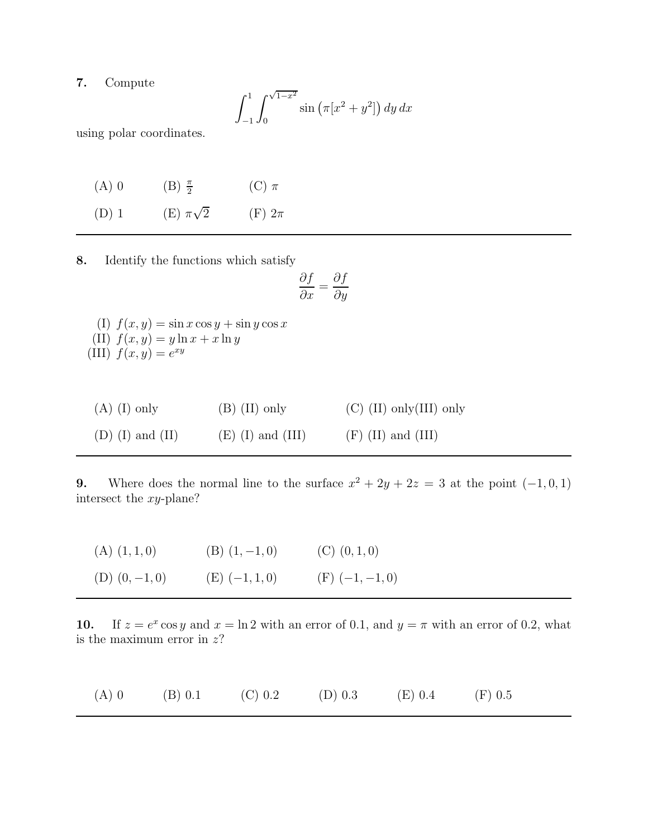### 7. Compute

$$
\int_{-1}^{1} \int_{0}^{\sqrt{1-x^2}} \sin \left( \pi [x^2 + y^2] \right) dy dx
$$

using polar coordinates.

| $(A)$ 0 | $(B) \frac{\pi}{2}$ | (C) $\pi$     |
|---------|---------------------|---------------|
| $(D)$ 1 | (E) $\pi\sqrt{2}$   | $(F)$ 2 $\pi$ |

8. Identify the functions which satisfy

$$
\frac{\partial f}{\partial x} = \frac{\partial f}{\partial y}
$$

(I)  $f(x, y) = \sin x \cos y + \sin y \cos x$ (II)  $f(x, y) = y \ln x + x \ln y$ (III)  $f(x, y) = e^{xy}$ 

| $(A)$ (I) only     | $(B)$ (II) only     | $(C)$ (II) only (III) only |
|--------------------|---------------------|----------------------------|
| $(D)$ (I) and (II) | $(E)$ (I) and (III) | $(F)$ (II) and (III)       |

9. Where does the normal line to the surface  $x^2 + 2y + 2z = 3$  at the point  $(-1, 0, 1)$ intersect the xy-plane?

| $(A)$ $(1, 1, 0)$  | $(B)$ $(1, -1, 0)$ | $(C)$ $(0, 1, 0)$   |
|--------------------|--------------------|---------------------|
| $(D)$ $(0, -1, 0)$ | $(E)$ $(-1, 1, 0)$ | $(F)$ $(-1, -1, 0)$ |

10. If  $z = e^x \cos y$  and  $x = \ln 2$  with an error of 0.1, and  $y = \pi$  with an error of 0.2, what is the maximum error in  $z$ ?

| $(A)$ 0 | (B) 0.1 | (C) 0.2 | $(D)$ 0.3 | $(E)$ 0.4 | (F) 0.5 |
|---------|---------|---------|-----------|-----------|---------|
|---------|---------|---------|-----------|-----------|---------|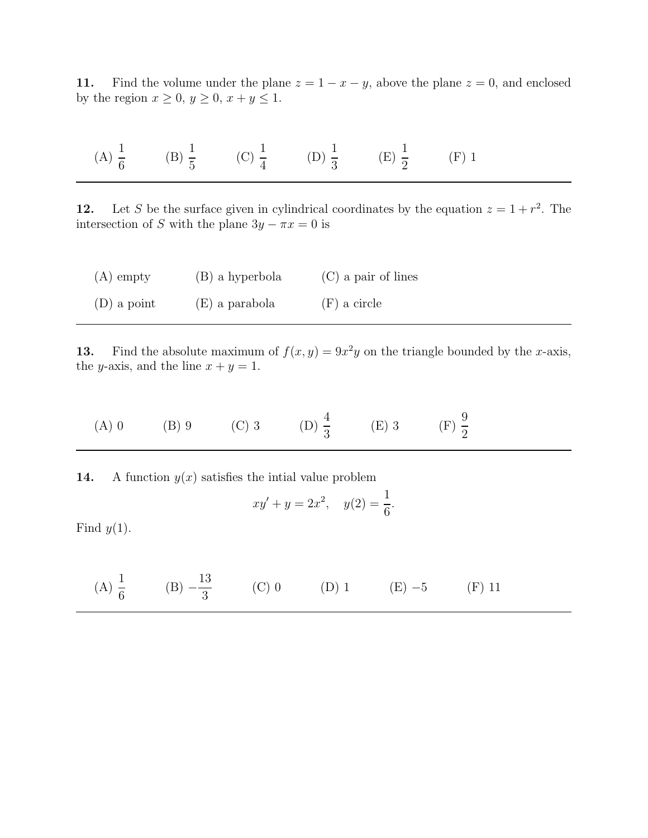11. Find the volume under the plane  $z = 1 - x - y$ , above the plane  $z = 0$ , and enclosed by the region  $x \geq 0$ ,  $y \geq 0$ ,  $x + y \leq 1$ .

 $(A) \frac{1}{c}$ 6  $(B) \frac{1}{5}$ 5 (C)  $\frac{1}{4}$ 4  $(D) \frac{1}{2}$ 3  $(E) \frac{1}{2}$ 2 (F) 1

12. Let S be the surface given in cylindrical coordinates by the equation  $z = 1 + r^2$ . The intersection of S with the plane  $3y - \pi x = 0$  is

| $(A)$ empty   | (B) a hyperbola | $(C)$ a pair of lines |
|---------------|-----------------|-----------------------|
| $(D)$ a point | (E) a parabola  | $(F)$ a circle        |

13. Find the absolute maximum of  $f(x, y) = 9x^2y$  on the triangle bounded by the x-axis, the y-axis, and the line  $x + y = 1$ .

(A) 0 \t(B) 9 \t(C) 3 \t(D) 
$$
\frac{4}{3}
$$
 \t(E) 3 \t(F)  $\frac{9}{2}$ 

14. A function  $y(x)$  satisfies the intial value problem

$$
xy' + y = 2x^2, \quad y(2) = \frac{1}{6}.
$$

Find  $y(1)$ .

(A) 
$$
\frac{1}{6}
$$
 (B)  $-\frac{13}{3}$  (C) 0 (D) 1 (E) -5 (F) 11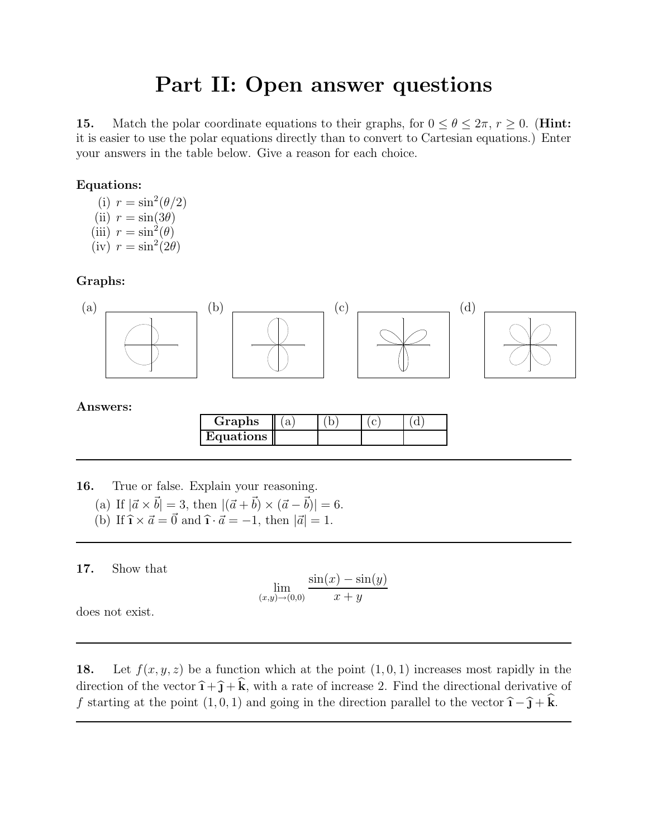# Part II: Open answer questions

15. Match the polar coordinate equations to their graphs, for  $0 \le \theta \le 2\pi$ ,  $r \ge 0$ . (Hint: it is easier to use the polar equations directly than to convert to Cartesian equations.) Enter your answers in the table below. Give a reason for each choice.

#### Equations:

(i)  $r = \sin^2(\theta/2)$ (ii)  $r = \sin(3\theta)$ (iii)  $r = \sin^2(\theta)$  $(iv) r = \sin^2(2\theta)$ 

#### Graphs:



| Graphs    |  |  |
|-----------|--|--|
| Equations |  |  |

16. True or false. Explain your reasoning.

- (a) If  $|~\vec{a} \times \vec{b}| = 3$ , then  $|(\vec{a} + \vec{b}) \times (\vec{a} \vec{b})| = 6$ .
- (b) If  $\hat{\mathbf{i}} \times \vec{a} = \vec{0}$  and  $\hat{\mathbf{i}} \cdot \vec{a} = -1$ , then  $|\vec{a}| = 1$ .

17. Show that

$$
\lim_{(x,y)\to(0,0)}\frac{\sin(x)-\sin(y)}{x+y}
$$

does not exist.

18. Let  $f(x, y, z)$  be a function which at the point  $(1, 0, 1)$  increases most rapidly in the direction of the vector  $\hat{\mathbf{i}} + \hat{\mathbf{j}} + \hat{\mathbf{k}}$ , with a rate of increase 2. Find the directional derivative of f starting at the point  $(1, 0, 1)$  and going in the direction parallel to the vector  $\hat{\mathbf{i}} - \hat{\mathbf{j}} + \hat{\mathbf{k}}$ .